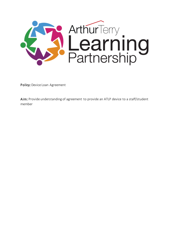

Policy: Device Loan Agreement

Aim: Provide understanding of agreement to provide an ATLP device to a staff/student member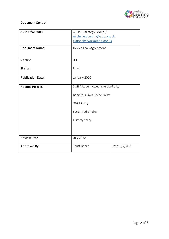

## Document Control

| Author/Contact:         | ATLP IT Strategy Group /<br>michelle.doughty@atlp.org.uk<br>claire.cheswick@atlp.org.uk                                               |                |
|-------------------------|---------------------------------------------------------------------------------------------------------------------------------------|----------------|
| <b>Document Name:</b>   | Device Loan Agreement                                                                                                                 |                |
|                         |                                                                                                                                       |                |
| Version                 | 0.1                                                                                                                                   |                |
| <b>Status</b>           | Final                                                                                                                                 |                |
| <b>Publication Date</b> | January 2020                                                                                                                          |                |
| <b>Related Policies</b> | Staff / Student Acceptable Use Policy<br>Bring Your Own Device Policy<br><b>GDPR Policy</b><br>Social Media Policy<br>E-safety policy |                |
|                         |                                                                                                                                       |                |
|                         |                                                                                                                                       |                |
|                         |                                                                                                                                       |                |
|                         |                                                                                                                                       |                |
|                         |                                                                                                                                       |                |
| <b>Review Date</b>      | <b>July 2022</b>                                                                                                                      |                |
| Approved By             | <b>Trust Board</b>                                                                                                                    | Date: 3/2/2020 |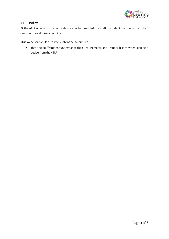

## ATLP Policy

At the ATLP schools' discretion, a device may be provided to a staff to student member to help them carry out their duties or learning.

This Acceptable Use Policy is intended to ensure:

• That the staff/student understands their requirements and responsibilities when loaning a device from the ATLP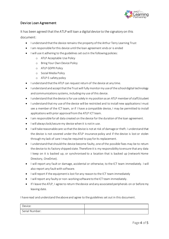

## Device Loan Agreement

It has been agreed that the ATLP will loan a digital device to the signatory on this document:

- I understand that the device remains the property of the Arthur Terry Learning Trust
- I am responsible for this device until the loan agreement ends or is ended
- I will use it adhering to the guidelines set out in the following policies:
	- o ATLP Acceptable Use Policy
	- o Bring Your Own Device Policy
	- o ATLP GDPR Policy
	- o Social Media Policy
	- o ATLP E-safety policy
- I understand that the ATLP can request return of the device at any time.
- I understand and acceptthat the Trust will fully monitor my use of the school digital technology and communications systems, including my use of this device.
- I understand that the device is for use solely in my position as an ATLP member of staff/student
- I understand that my use of the device will be restricted and to install new applications I must see a member of the ICT team, or if I have a compatible device, I may be permitted to install applications with prior approval from the ATLP ICT team.
- I am responsible for all data created on the device for the duration of the loan agreement.
- I will always lock/secure my device when it is not in use.
- I will take reasonable care so that the device is not at risk of damage or theft. I understand that the device is not covered under the ATLP insurance policy and if the device is lost or stolen through my lack of care I may be required to pay for its replacement.
- I understand that should the device become faulty, one of the possible fixes may be to return the device to its factory shipped state. Therefore it is my responsibility to ensure that any data I keep on it is backed up, or synchronised to a location that is backed up (network Home Directory, OneDrive).
- I will report any fault or damage, accidental or otherwise, to the ICT team immediately. I will also report any fault with software.
- I will report if the equipment is lost for any reason to the ICT team immediately
- I will report any faulty or non-working software to the ICT team immediately.
- If I leave the ATLP, I agree to return the device and any associated peripherals on or before my leaving date.

I have read and understand the above and agree to the guidelines set out in this document.

| Device:        |  |
|----------------|--|
| Serial Number: |  |